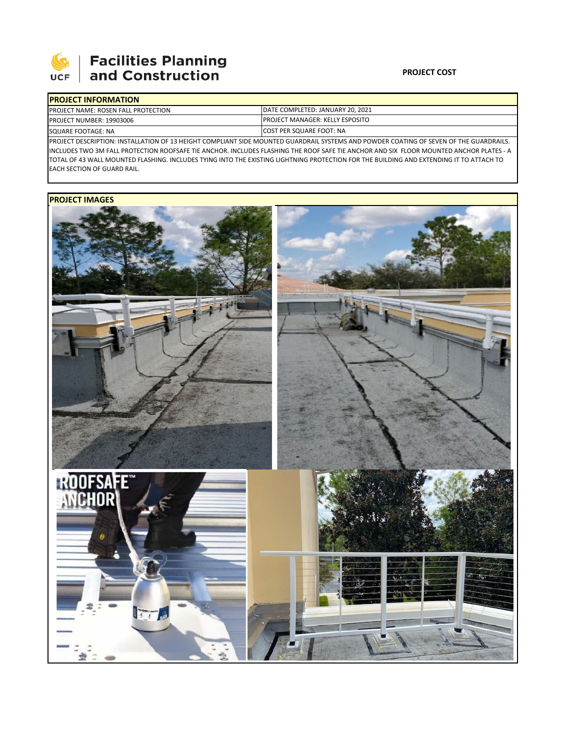

# **Facilities Planning**<br>and Construction

### **PROJECT COST**

|                    | <b>IPROJECT INFORMATION</b>                |                                                                                                                                         |  |  |  |  |
|--------------------|--------------------------------------------|-----------------------------------------------------------------------------------------------------------------------------------------|--|--|--|--|
|                    | <b>PROJECT NAME: ROSEN FALL PROTECTION</b> | DATE COMPLETED: JANUARY 20, 2021<br><b>IPROJECT MANAGER: KELLY ESPOSITO</b>                                                             |  |  |  |  |
|                    | <b>PROJECT NUMBER: 19903006</b>            |                                                                                                                                         |  |  |  |  |
| SQUARE FOOTAGE: NA |                                            | <b>ICOST PER SQUARE FOOT: NA</b>                                                                                                        |  |  |  |  |
|                    |                                            | IPROJECT DESCRIPTION: INSTALLATION OF 13 HEIGHT COMPLIANT SIDE MOUNTED GUARDRAIL SYSTEMS AND POWDER COATING OF SEVEN OF THE GUARDRAILS. |  |  |  |  |

INCLUDES TWO 3M FALL PROTECTION ROOFSAFE TIE ANCHOR. INCLUDES FLASHING THE ROOF SAFE TIE ANCHOR AND SIX FLOOR MOUNTED ANCHOR PLATES ‐ A TOTAL OF 43 WALL MOUNTED FLASHING. INCLUDES TYING INTO THE EXISTING LIGHTNING PROTECTION FOR THE BUILDING AND EXTENDING IT TO ATTACH TO EACH SECTION OF GUARD RAIL.

## **PROJECT IMAGES**